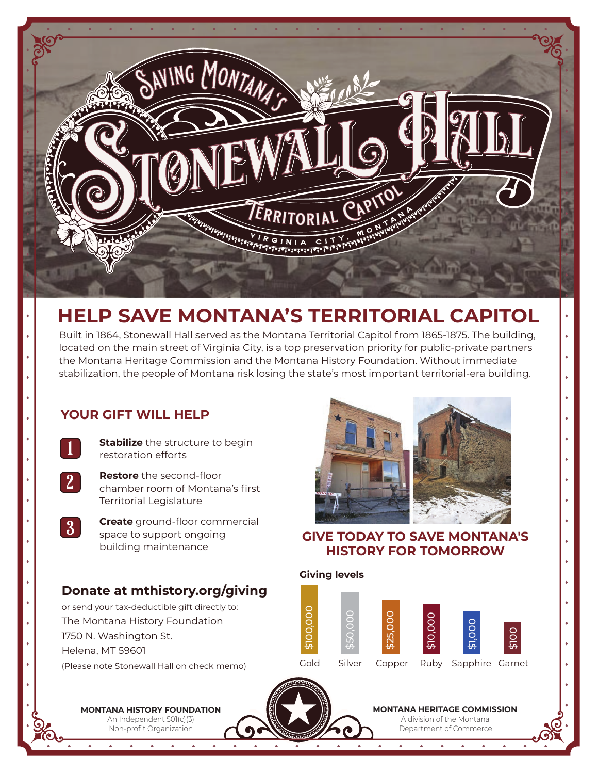

# **HELP SAVE MONTANA'S TERRITORIAL CAPITOL**

Built in 1864, Stonewall Hall served as the Montana Territorial Capitol from 1865-1875. The building, located on the main street of Virginia City, is a top preservation priority for public-private partners the Montana Heritage Commission and the Montana History Foundation. Without immediate stabilization, the people of Montana risk losing the state's most important territorial-era building.

## **YOUR GIFT WILL HELP**

**Stabilize** the structure to begin restoration efforts



3

**Restore** the second-floor chamber room of Montana's first Territorial Legislature



# **Donate at mthistory.org/giving**

or send your tax-deductible gift directly to: The Montana History Foundation 1750 N. Washington St. Helena, MT 59601

(Please note Stonewall Hall on check memo)



### **GIVE TODAY TO SAVE MONTANA'S HISTORY FOR TOMORROW**





**MONTANA HERITAGE COMMISSION**

A division of the Montana Department of Commerce